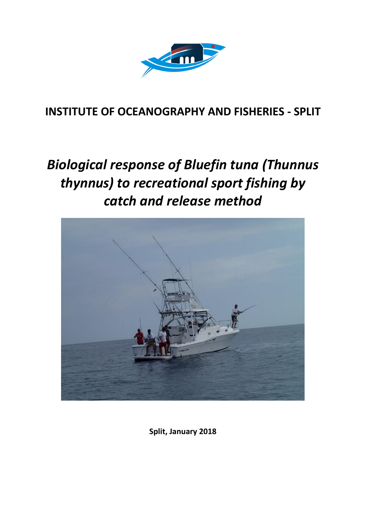

### **INSTITUTE OF OCEANOGRAPHY AND FISHERIES - SPLIT**

# *Biological response of Bluefin tuna (Thunnus thynnus) to recreational sport fishing by catch and release method*



**Split, January 2018**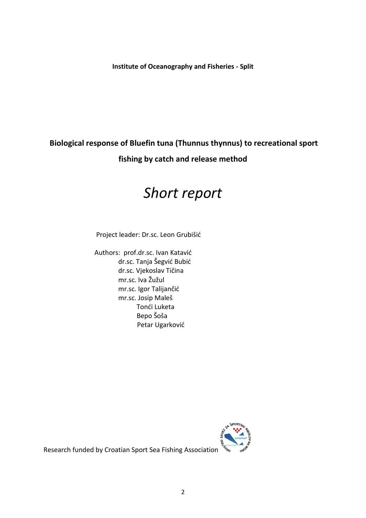**Institute of Oceanography and Fisheries - Split**

### **Biological response of Bluefin tuna (Thunnus thynnus) to recreational sport fishing by catch and release method**

# *Short report*

Project leader: Dr.sc. Leon Grubišić

 Authors: prof.dr.sc. Ivan Katavić dr.sc. Tanja Šegvić Bubić dr.sc. Vjekoslav Tičina mr.sc. Iva Žužul mr.sc. Igor Talijančić mr.sc. Josip Maleš Tonći Luketa Bepo Šoša Petar Ugarković



Research funded by Croatian Sport Sea Fishing Association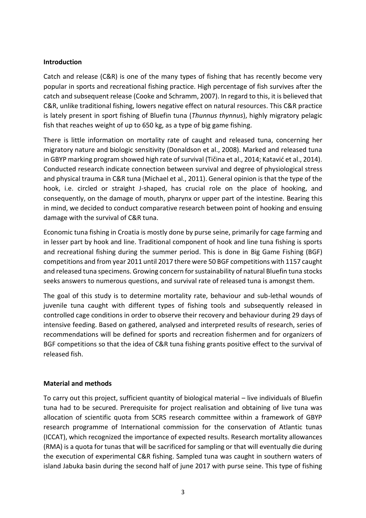#### **Introduction**

Catch and release (C&R) is one of the many types of fishing that has recently become very popular in sports and recreational fishing practice. High percentage of fish survives after the catch and subsequent release (Cooke and Schramm, 2007). In regard to this, it is believed that C&R, unlike traditional fishing, lowers negative effect on natural resources. This C&R practice is lately present in sport fishing of Bluefin tuna (*Thunnus thynnus*), highly migratory pelagic fish that reaches weight of up to 650 kg, as a type of big game fishing.

There is little information on mortality rate of caught and released tuna, concerning her migratory nature and biologic sensitivity (Donaldson et al., 2008). Marked and released tuna in GBYP marking program showed high rate of survival (Tičina et al., 2014; Katavić et al., 2014). Conducted research indicate connection between survival and degree of physiological stress and physical trauma in C&R tuna (Michael et al., 2011). General opinion is that the type of the hook, i.e. circled or straight J-shaped, has crucial role on the place of hooking, and consequently, on the damage of mouth, pharynx or upper part of the intestine. Bearing this in mind, we decided to conduct comparative research between point of hooking and ensuing damage with the survival of C&R tuna.

Economic tuna fishing in Croatia is mostly done by purse seine, primarily for cage farming and in lesser part by hook and line. Traditional component of hook and line tuna fishing is sports and recreational fishing during the summer period. This is done in Big Game Fishing (BGF) competitions and from year 2011 until 2017 there were 50 BGF competitions with 1157 caught and released tuna specimens. Growing concern for sustainability of natural Bluefin tuna stocks seeks answers to numerous questions, and survival rate of released tuna is amongst them.

The goal of this study is to determine mortality rate, behaviour and sub-lethal wounds of juvenile tuna caught with different types of fishing tools and subsequently released in controlled cage conditions in order to observe their recovery and behaviour during 29 days of intensive feeding. Based on gathered, analysed and interpreted results of research, series of recommendations will be defined for sports and recreation fishermen and for organizers of BGF competitions so that the idea of C&R tuna fishing grants positive effect to the survival of released fish.

#### **Material and methods**

To carry out this project, sufficient quantity of biological material – live individuals of Bluefin tuna had to be secured. Prerequisite for project realisation and obtaining of live tuna was allocation of scientific quota from SCRS research committee within a framework of GBYP research programme of International commission for the conservation of Atlantic tunas (ICCAT), which recognized the importance of expected results. Research mortality allowances (RMA) is a quota for tunas that will be sacrificed for sampling or that will eventually die during the execution of experimental C&R fishing. Sampled tuna was caught in southern waters of island Jabuka basin during the second half of june 2017 with purse seine. This type of fishing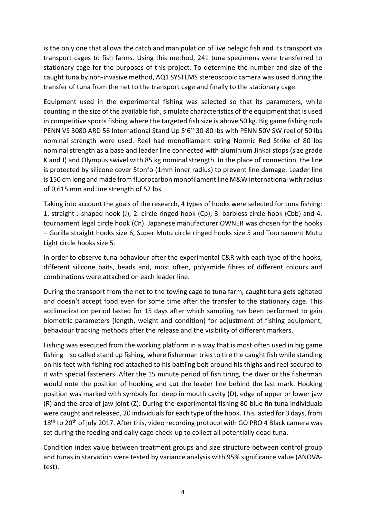is the only one that allows the catch and manipulation of live pelagic fish and its transport via transport cages to fish farms. Using this method, 241 tuna specimens were transferred to stationary cage for the purposes of this project. To determine the number and size of the caught tuna by non-invasive method, AQ1 SYSTEMS stereoscopic camera was used during the transfer of tuna from the net to the transport cage and finally to the stationary cage.

Equipment used in the experimental fishing was selected so that its parameters, while counting in the size of the available fish, simulate characteristics of the equipment that is used in competitive sports fishing where the targeted fish size is above 50 kg. Big game fishing rods PENN VS 3080 ARD 56 International Stand Up 5'6'' 30-80 lbs with PENN 50V SW reel of 50 lbs nominal strength were used. Reel had monofilament string Normic Red Strike of 80 lbs nominal strength as a base and leader line connected with aluminium Jinkai stops (size grade K and J) and Olympus swivel with 85 kg nominal strength. In the place of connection, the line is protected by silicone cover Stonfo (1mm inner radius) to prevent line damage. Leader line is 150 cm long and made from fluorocarbon monofilament line M&W International with radius of 0,615 mm and line strength of 52 lbs.

Taking into account the goals of the research, 4 types of hooks were selected for tuna fishing: 1. straight J-shaped hook (J); 2. circle ringed hook (Cp); 3. barbless circle hook (Cbb) and 4. tournament legal circle hook (Cn). Japanese manufacturer OWNER was chosen for the hooks – Gorilla straight hooks size 6, Super Mutu circle ringed hooks size 5 and Tournament Mutu Light circle hooks size 5.

In order to observe tuna behaviour after the experimental C&R with each type of the hooks, different silicone baits, beads and, most often, polyamide fibres of different colours and combinations were attached on each leader line.

During the transport from the net to the towing cage to tuna farm, caught tuna gets agitated and doesn't accept food even for some time after the transfer to the stationary cage. This acclimatization period lasted for 15 days after which sampling has been performed to gain biometric parameters (length, weight and condition) for adjustment of fishing equipment, behaviour tracking methods after the release and the visibility of different markers.

Fishing was executed from the working platform in a way that is most often used in big game fishing – so called stand up fishing, where fisherman tries to tire the caught fish while standing on his feet with fishing rod attached to his battling belt around his thighs and reel secured to it with special fasteners. After the 15 minute period of fish tiring, the diver or the fisherman would note the position of hooking and cut the leader line behind the last mark. Hooking position was marked with symbols for: deep in mouth cavity (D), edge of upper or lower jaw (R) and the area of jaw joint (Z). During the experimental fishing 80 blue fin tuna individuals were caught and released, 20 individuals for each type of the hook. This lasted for 3 days, from  $18<sup>th</sup>$  to 20<sup>th</sup> of july 2017. After this, video recording protocol with GO PRO 4 Black camera was set during the feeding and daily cage check-up to collect all potentially dead tuna.

Condition index value between treatment groups and size structure between control group and tunas in starvation were tested by variance analysis with 95% significance value (ANOVAtest).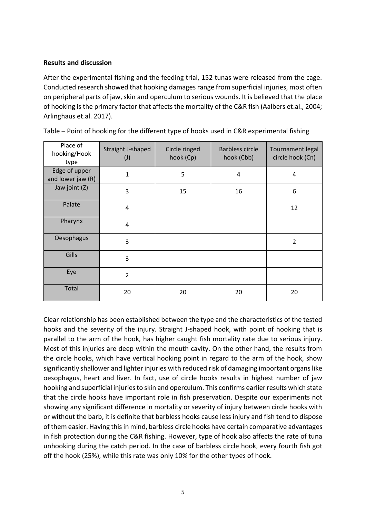#### **Results and discussion**

After the experimental fishing and the feeding trial, 152 tunas were released from the cage. Conducted research showed that hooking damages range from superficial injuries, most often on peripheral parts of jaw, skin and operculum to serious wounds. It is believed that the place of hooking is the primary factor that affects the mortality of the C&R fish (Aalbers et.al., 2004; Arlinghaus et.al. 2017).

| Place of<br>hooking/Hook<br>type   | Straight J-shaped<br>$(\mathsf{J})$ | Circle ringed<br>hook (Cp) | <b>Barbless circle</b><br>hook (Cbb) | Tournament legal<br>circle hook (Cn) |
|------------------------------------|-------------------------------------|----------------------------|--------------------------------------|--------------------------------------|
| Edge of upper<br>and lower jaw (R) | $\mathbf{1}$                        | 5                          | 4                                    | 4                                    |
| Jaw joint (Z)                      | 3                                   | 15                         | 16                                   | 6                                    |
| Palate                             | $\overline{4}$                      |                            |                                      | 12                                   |
| Pharynx                            | $\overline{4}$                      |                            |                                      |                                      |
| Oesophagus                         | 3                                   |                            |                                      | $\overline{2}$                       |
| Gills                              | 3                                   |                            |                                      |                                      |
| Eye                                | $\overline{2}$                      |                            |                                      |                                      |
| Total                              | 20                                  | 20                         | 20                                   | 20                                   |

Table – Point of hooking for the different type of hooks used in C&R experimental fishing

Clear relationship has been established between the type and the characteristics of the tested hooks and the severity of the injury. Straight J-shaped hook, with point of hooking that is parallel to the arm of the hook, has higher caught fish mortality rate due to serious injury. Most of this injuries are deep within the mouth cavity. On the other hand, the results from the circle hooks, which have vertical hooking point in regard to the arm of the hook, show significantly shallower and lighter injuries with reduced risk of damaging important organs like oesophagus, heart and liver. In fact, use of circle hooks results in highest number of jaw hooking and superficial injuries to skin and operculum. This confirms earlier results which state that the circle hooks have important role in fish preservation. Despite our experiments not showing any significant difference in mortality or severity of injury between circle hooks with or without the barb, it is definite that barbless hooks cause less injury and fish tend to dispose of them easier. Having this in mind, barbless circle hooks have certain comparative advantages in fish protection during the C&R fishing. However, type of hook also affects the rate of tuna unhooking during the catch period. In the case of barbless circle hook, every fourth fish got off the hook (25%), while this rate was only 10% for the other types of hook.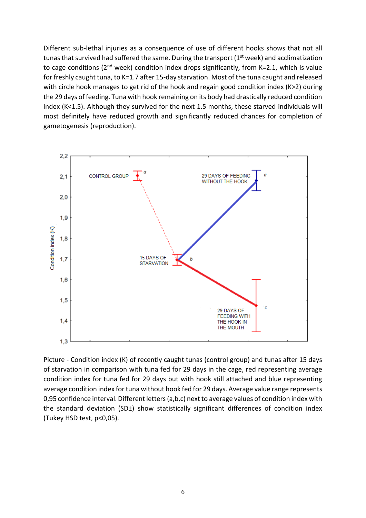Different sub-lethal injuries as a consequence of use of different hooks shows that not all tunas that survived had suffered the same. During the transport (1<sup>st</sup> week) and acclimatization to cage conditions ( $2<sup>nd</sup>$  week) condition index drops significantly, from K=2.1, which is value for freshly caught tuna, to K=1.7 after 15-day starvation. Most of the tuna caught and released with circle hook manages to get rid of the hook and regain good condition index (K>2) during the 29 days of feeding. Tuna with hook remaining on its body had drastically reduced condition index (K<1.5). Although they survived for the next 1.5 months, these starved individuals will most definitely have reduced growth and significantly reduced chances for completion of gametogenesis (reproduction).



Picture - Condition index (K) of recently caught tunas (control group) and tunas after 15 days of starvation in comparison with tuna fed for 29 days in the cage, red representing average condition index for tuna fed for 29 days but with hook still attached and blue representing average condition index for tuna without hook fed for 29 days. Average value range represents 0,95 confidence interval. Different letters (a,b,c) next to average values of condition index with the standard deviation (SD $\pm$ ) show statistically significant differences of condition index (Tukey HSD test, p<0,05).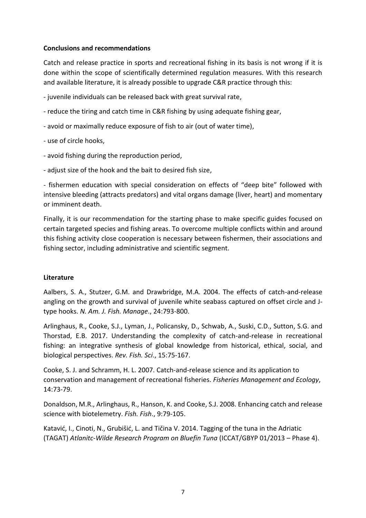#### **Conclusions and recommendations**

Catch and release practice in sports and recreational fishing in its basis is not wrong if it is done within the scope of scientifically determined regulation measures. With this research and available literature, it is already possible to upgrade C&R practice through this:

- juvenile individuals can be released back with great survival rate,
- reduce the tiring and catch time in C&R fishing by using adequate fishing gear,
- avoid or maximally reduce exposure of fish to air (out of water time),
- use of circle hooks,
- avoid fishing during the reproduction period,
- adjust size of the hook and the bait to desired fish size,

- fishermen education with special consideration on effects of "deep bite" followed with intensive bleeding (attracts predators) and vital organs damage (liver, heart) and momentary or imminent death.

Finally, it is our recommendation for the starting phase to make specific guides focused on certain targeted species and fishing areas. To overcome multiple conflicts within and around this fishing activity close cooperation is necessary between fishermen, their associations and fishing sector, including administrative and scientific segment.

#### **Literature**

Aalbers, S. A., Stutzer, G.M. and Drawbridge, M.A. 2004. The effects of catch-and-release angling on the growth and survival of juvenile white seabass captured on offset circle and Jtype hooks. *N. Am. J. Fish. Manage*., 24:793-800.

Arlinghaus, R., Cooke, S.J., Lyman, J., Policansky, D., Schwab, A., Suski, C.D., Sutton, S.G. and Thorstad, E.B. 2017. Understanding the complexity of catch-and-release in recreational fishing: an integrative synthesis of global knowledge from historical, ethical, social, and biological perspectives. *Rev. Fish. Sci*., 15:75-167.

Cooke, S. J. and Schramm, H. L. 2007. Catch-and-release science and its application to conservation and management of recreational fisheries. *Fisheries Management and Ecology*, 14:73-79.

Donaldson, M.R., Arlinghaus, R., Hanson, K. and Cooke, S.J. 2008. Enhancing catch and release science with biotelemetry. *Fish. Fish*., 9:79-105.

Katavić, I., Cinoti, N., Grubišić, L. and Tičina V. 2014. Tagging of the tuna in the Adriatic (TAGAT) *Atlanitc-Wilde Research Program on Bluefin Tuna* (ICCAT/GBYP 01/2013 – Phase 4).